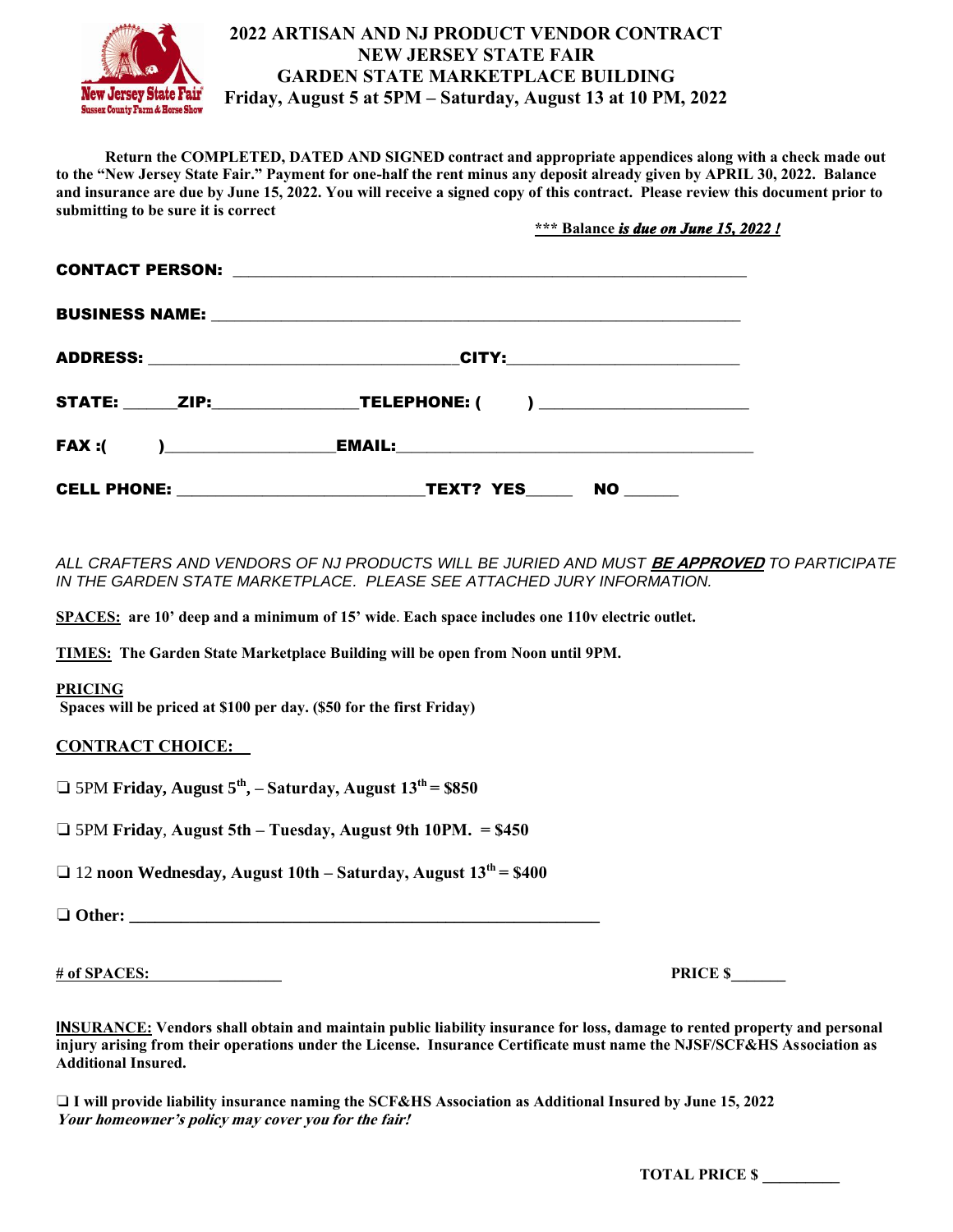

## **2022 ARTISAN AND NJ PRODUCT VENDOR CONTRACT NEW JERSEY STATE FAIR GARDEN STATE MARKETPLACE BUILDING Friday, August 5 at 5PM – Saturday, August 13 at 10 PM, 2022**

 **Return the COMPLETED, DATED AND SIGNED contract and appropriate appendices along with a check made out to the "New Jersey State Fair." Payment for one-half the rent minus any deposit already given by APRIL 30, 2022. Balance and insurance are due by June 15, 2022. You will receive a signed copy of this contract. Please review this document prior to submitting to be sure it is correct** 

 **\*\*\* Balance** *is due on June 15, 2022 !* 

| STATE: _______ZIP:_____________________TELEPHONE: ( ) __________________________ |
|----------------------------------------------------------------------------------|
|                                                                                  |
|                                                                                  |

*ALL CRAFTERS AND VENDORS OF NJ PRODUCTS WILL BE JURIED AND MUST* **BE APPROVED** *TO PARTICIPATE IN THE GARDEN STATE MARKETPLACE. PLEASE SEE ATTACHED JURY INFORMATION.* 

**SPACES: are 10' deep and a minimum of 15' wide**. **Each space includes one 110v electric outlet.** 

**TIMES: The Garden State Marketplace Building will be open from Noon until 9PM.**

## **PRICING**

**Spaces will be priced at \$100 per day. (\$50 for the first Friday)**

## **CONTRACT CHOICE:**

❏ 5PM **Friday, August 5th , – Saturday, August 13th = \$850**

❏ 5PM **Friday**, **August 5th – Tuesday, August 9th 10PM. = \$450**

❏ 12 **noon Wednesday, August 10th – Saturday, August 13th = \$400**

❏ **Other: \_\_\_\_\_\_\_\_\_\_\_\_\_\_\_\_\_\_\_\_\_\_\_\_\_\_\_\_\_\_\_\_\_\_\_\_\_\_\_\_\_\_\_\_\_\_\_\_\_\_\_\_\_\_\_**

# of SPACES: PRICE \$

**INSURANCE: Vendors shall obtain and maintain public liability insurance for loss, damage to rented property and personal injury arising from their operations under the License. Insurance Certificate must name the NJSF/SCF&HS Association as Additional Insured.**

❏ **I will provide liability insurance naming the SCF&HS Association as Additional Insured by June 15, 2022 Your homeowner's policy may cover you for the fair!**

 **TOTAL PRICE \$ \_\_\_\_\_\_\_\_\_**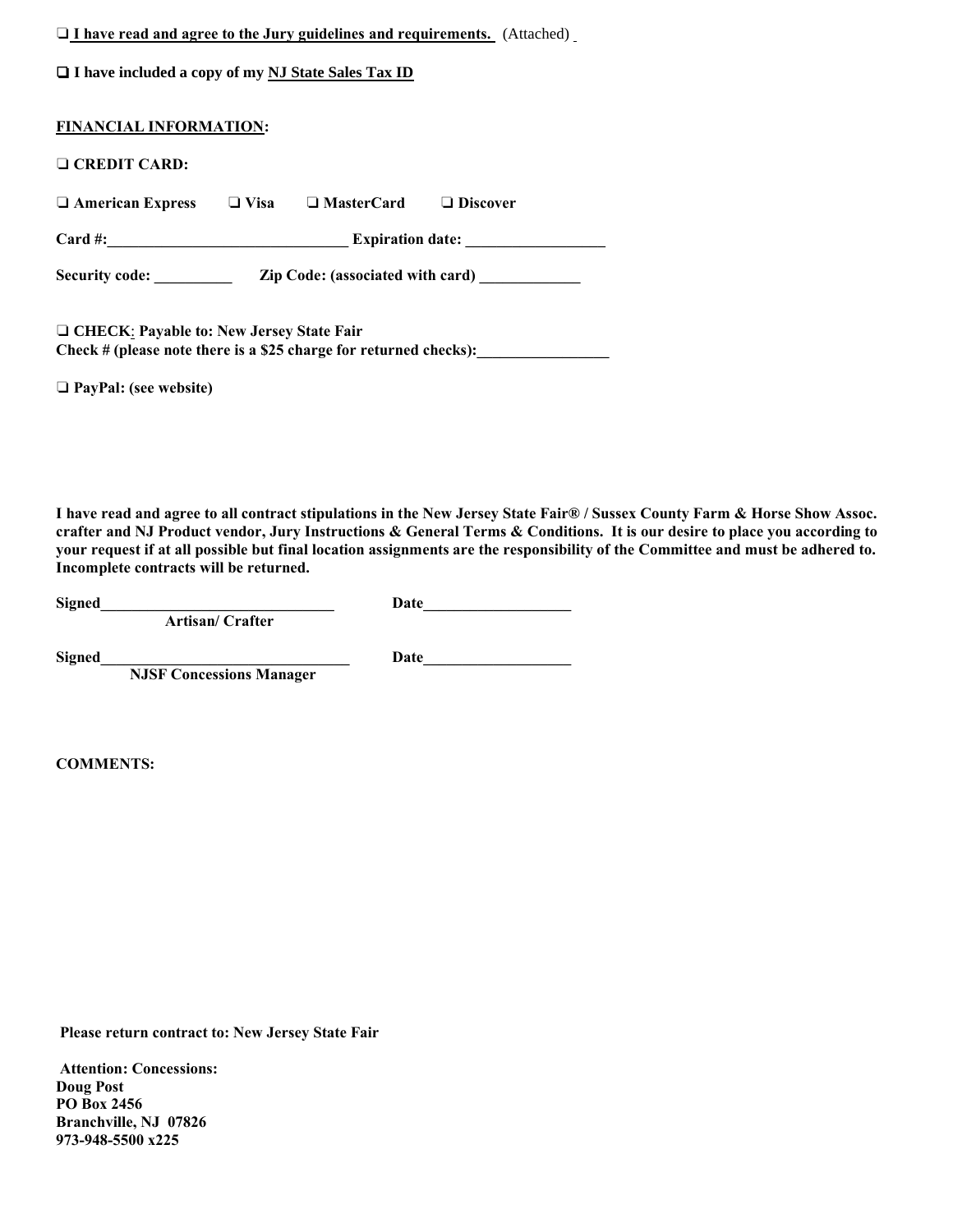| $\Box$ I have read and agree to the Jury guidelines and requirements. (Attached) |  |
|----------------------------------------------------------------------------------|--|
| $\Box$ I have included a copy of my NJ State Sales Tax ID                        |  |

| <b>FINANCIAL INFORMATION:</b>                                                                                          |                                         |                                         |                 |  |
|------------------------------------------------------------------------------------------------------------------------|-----------------------------------------|-----------------------------------------|-----------------|--|
| $\Box$ CREDIT CARD:                                                                                                    |                                         |                                         |                 |  |
| $\Box$ American Express                                                                                                | $\Box$ Visa                             | $\Box$ MasterCard                       | $\Box$ Discover |  |
| $Card \#$ :                                                                                                            | <u> 1990 - Johann Barbara, martin a</u> | <b>Expiration date:</b>                 |                 |  |
| <b>Security code:</b>                                                                                                  |                                         | <b>Zip Code: (associated with card)</b> |                 |  |
| $\Box$ CHECK: Payable to: New Jersey State Fair<br>Check $#$ (please note there is a \$25 charge for returned checks): |                                         |                                         |                 |  |

❏ **PayPal: (see website)**

**I have read and agree to all contract stipulations in the New Jersey State Fair® / Sussex County Farm & Horse Show Assoc. crafter and NJ Product vendor, Jury Instructions & General Terms & Conditions. It is our desire to place you according to your request if at all possible but final location assignments are the responsibility of the Committee and must be adhered to. Incomplete contracts will be returned.** 

**Signed\_\_\_\_\_\_\_\_\_\_\_\_\_\_\_\_\_\_\_\_\_\_\_\_\_\_\_\_\_\_ Date\_\_\_\_\_\_\_\_\_\_\_\_\_\_\_\_\_\_\_** 

 **Artisan/ Crafter**

Signed Date

 **NJSF Concessions Manager**

**COMMENTS:**

**Please return contract to: New Jersey State Fair** 

**Attention: Concessions: Doug Post PO Box 2456 Branchville, NJ 07826 973-948-5500 x225**